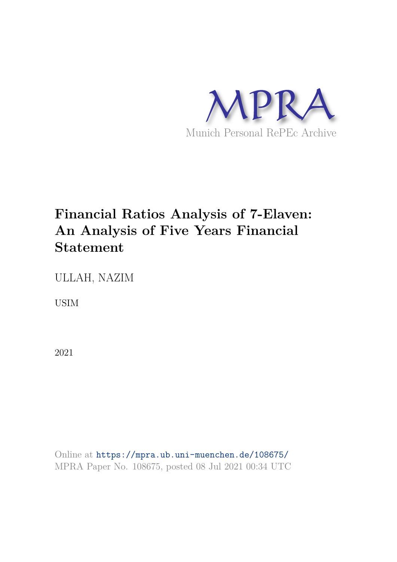

# **Financial Ratios Analysis of 7-Elaven: An Analysis of Five Years Financial Statement**

ULLAH, NAZIM

USIM

2021

Online at https://mpra.ub.uni-muenchen.de/108675/ MPRA Paper No. 108675, posted 08 Jul 2021 00:34 UTC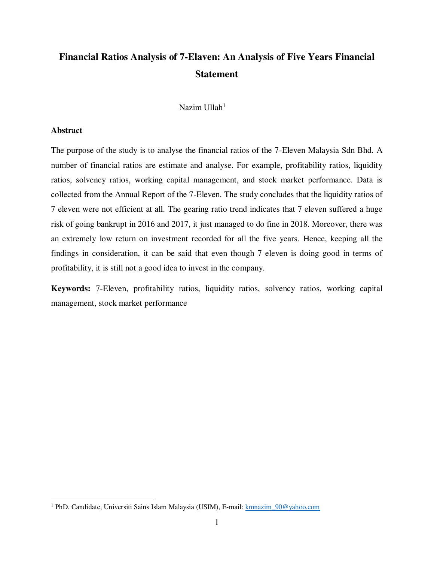## **Financial Ratios Analysis of 7-Elaven: An Analysis of Five Years Financial Statement**

Nazim Ullah<sup>1</sup>

#### **Abstract**

 $\overline{a}$ 

The purpose of the study is to analyse the financial ratios of the 7-Eleven Malaysia Sdn Bhd. A number of financial ratios are estimate and analyse. For example, profitability ratios, liquidity ratios, solvency ratios, working capital management, and stock market performance. Data is collected from the Annual Report of the 7-Eleven. The study concludes that the liquidity ratios of 7 eleven were not efficient at all. The gearing ratio trend indicates that 7 eleven suffered a huge risk of going bankrupt in 2016 and 2017, it just managed to do fine in 2018. Moreover, there was an extremely low return on investment recorded for all the five years. Hence, keeping all the findings in consideration, it can be said that even though 7 eleven is doing good in terms of profitability, it is still not a good idea to invest in the company.

**Keywords:** 7-Eleven, profitability ratios, liquidity ratios, solvency ratios, working capital management, stock market performance

<sup>&</sup>lt;sup>1</sup> PhD. Candidate, Universiti Sains Islam Malaysia (USIM), E-mail: **kmnazim\_90@yahoo.com**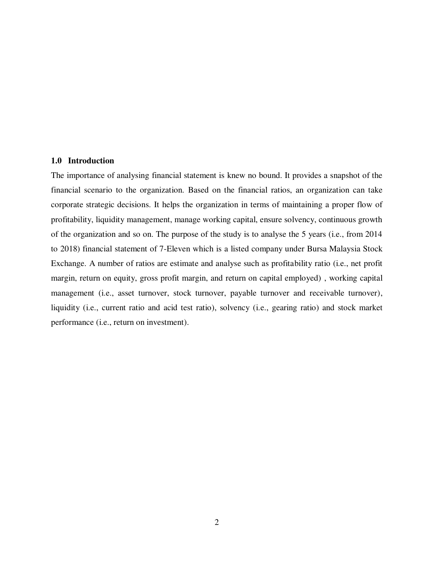#### **1.0 Introduction**

The importance of analysing financial statement is knew no bound. It provides a snapshot of the financial scenario to the organization. Based on the financial ratios, an organization can take corporate strategic decisions. It helps the organization in terms of maintaining a proper flow of profitability, liquidity management, manage working capital, ensure solvency, continuous growth of the organization and so on. The purpose of the study is to analyse the 5 years (i.e., from 2014 to 2018) financial statement of 7-Eleven which is a listed company under Bursa Malaysia Stock Exchange. A number of ratios are estimate and analyse such as profitability ratio (i.e., net profit margin, return on equity, gross profit margin, and return on capital employed) , working capital management (i.e., asset turnover, stock turnover, payable turnover and receivable turnover), liquidity (i.e., current ratio and acid test ratio), solvency (i.e., gearing ratio) and stock market performance (i.e., return on investment).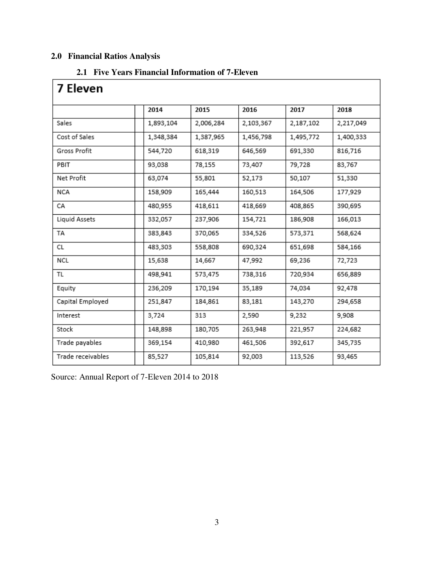## **2.0 Financial Ratios Analysis**

## **2.1 Five Years Financial Information of 7-Eleven**

| 7 Eleven          |           |           |           |           |           |
|-------------------|-----------|-----------|-----------|-----------|-----------|
|                   | 2014      | 2015      | 2016      | 2017      | 2018      |
| Sales             | 1,893,104 | 2,006,284 | 2,103,367 | 2,187,102 | 2,217,049 |
| Cost of Sales     | 1,348,384 | 1,387,965 | 1,456,798 | 1,495,772 | 1,400,333 |
| Gross Profit      | 544,720   | 618,319   | 646,569   | 691,330   | 816,716   |
| PBIT              | 93,038    | 78,155    | 73,407    | 79,728    | 83,767    |
| Net Profit        | 63,074    | 55,801    | 52,173    | 50,107    | 51,330    |
| <b>NCA</b>        | 158,909   | 165,444   | 160,513   | 164,506   | 177,929   |
| СA                | 480,955   | 418,611   | 418,669   | 408,865   | 390,695   |
| Liquid Assets     | 332,057   | 237,906   | 154,721   | 186,908   | 166,013   |
| TA                | 383,843   | 370,065   | 334,526   | 573,371   | 568,624   |
| СL                | 483,303   | 558,808   | 690,324   | 651,698   | 584,166   |
| NCL               | 15,638    | 14,667    | 47,992    | 69,236    | 72,723    |
| TL                | 498,941   | 573,475   | 738,316   | 720,934   | 656,889   |
| Equity            | 236,209   | 170,194   | 35,189    | 74,034    | 92,478    |
| Capital Employed  | 251,847   | 184,861   | 83,181    | 143,270   | 294,658   |
| Interest          | 3,724     | 313       | 2,590     | 9,232     | 9,908     |
| Stock             | 148,898   | 180,705   | 263,948   | 221,957   | 224,682   |
| Trade payables    | 369,154   | 410,980   | 461,506   | 392,617   | 345,735   |
| Trade receivables | 85,527    | 105,814   | 92,003    | 113,526   | 93,465    |

Source: Annual Report of 7-Eleven 2014 to 2018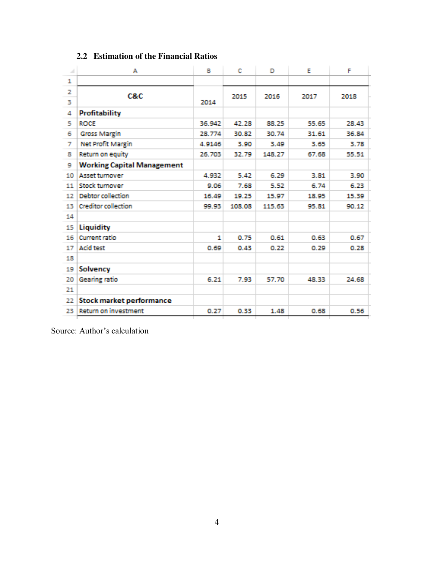| 1<br>2<br>C&C<br>2015<br>2016<br>2017<br>2018<br>з<br>2014<br><b>Profitability</b><br>4<br><b>ROCE</b><br>36.942<br>5<br>42.28<br>88.25<br>55.65<br>28.43<br>30.82<br>31.61<br>6<br><b>Gross Margin</b><br>28.774<br>30.74<br>36.84<br><b>Net Profit Margin</b><br>3.90<br>3.49<br>3.65<br>7<br>4.9146<br>3.78<br>Return on equity<br>26.703<br>32.79<br>148.27<br>67.68<br>8<br>55.51<br><b>Working Capital Management</b><br>9<br><b>Asset turnover</b><br>5.42<br>6.29<br>10<br>4.932<br>3.81<br>3.90<br>Stock turnover<br>7.68<br>5.52<br>11<br>9.06<br>6.74<br>6.23<br><b>Debtor</b> collection<br>15.97<br>15.39<br>12<br>16.49<br>19.25<br>18.95<br><b>Creditor collection</b><br>108.08<br>115.63<br>90.12<br>13<br>99.93<br>95.81 |  |
|--------------------------------------------------------------------------------------------------------------------------------------------------------------------------------------------------------------------------------------------------------------------------------------------------------------------------------------------------------------------------------------------------------------------------------------------------------------------------------------------------------------------------------------------------------------------------------------------------------------------------------------------------------------------------------------------------------------------------------------------|--|
|                                                                                                                                                                                                                                                                                                                                                                                                                                                                                                                                                                                                                                                                                                                                            |  |
|                                                                                                                                                                                                                                                                                                                                                                                                                                                                                                                                                                                                                                                                                                                                            |  |
|                                                                                                                                                                                                                                                                                                                                                                                                                                                                                                                                                                                                                                                                                                                                            |  |
|                                                                                                                                                                                                                                                                                                                                                                                                                                                                                                                                                                                                                                                                                                                                            |  |
|                                                                                                                                                                                                                                                                                                                                                                                                                                                                                                                                                                                                                                                                                                                                            |  |
|                                                                                                                                                                                                                                                                                                                                                                                                                                                                                                                                                                                                                                                                                                                                            |  |
|                                                                                                                                                                                                                                                                                                                                                                                                                                                                                                                                                                                                                                                                                                                                            |  |
|                                                                                                                                                                                                                                                                                                                                                                                                                                                                                                                                                                                                                                                                                                                                            |  |
|                                                                                                                                                                                                                                                                                                                                                                                                                                                                                                                                                                                                                                                                                                                                            |  |
|                                                                                                                                                                                                                                                                                                                                                                                                                                                                                                                                                                                                                                                                                                                                            |  |
|                                                                                                                                                                                                                                                                                                                                                                                                                                                                                                                                                                                                                                                                                                                                            |  |
|                                                                                                                                                                                                                                                                                                                                                                                                                                                                                                                                                                                                                                                                                                                                            |  |
|                                                                                                                                                                                                                                                                                                                                                                                                                                                                                                                                                                                                                                                                                                                                            |  |
| 14                                                                                                                                                                                                                                                                                                                                                                                                                                                                                                                                                                                                                                                                                                                                         |  |
| Liquidity<br>15                                                                                                                                                                                                                                                                                                                                                                                                                                                                                                                                                                                                                                                                                                                            |  |
| <b>Current ratio</b><br>0.75<br>16<br>0.61<br>0.63<br>0.67<br>1                                                                                                                                                                                                                                                                                                                                                                                                                                                                                                                                                                                                                                                                            |  |
| <b>Acid test</b><br>17<br>0.69<br>0.43<br>0.22<br>0.29<br>0.28                                                                                                                                                                                                                                                                                                                                                                                                                                                                                                                                                                                                                                                                             |  |
| 18                                                                                                                                                                                                                                                                                                                                                                                                                                                                                                                                                                                                                                                                                                                                         |  |
| 19<br>Solvency                                                                                                                                                                                                                                                                                                                                                                                                                                                                                                                                                                                                                                                                                                                             |  |
| Gearing ratio<br>20<br>6.21<br>7.93<br>57.70<br>48.33<br>24.68                                                                                                                                                                                                                                                                                                                                                                                                                                                                                                                                                                                                                                                                             |  |
| 21                                                                                                                                                                                                                                                                                                                                                                                                                                                                                                                                                                                                                                                                                                                                         |  |
| Stock market performance<br>22                                                                                                                                                                                                                                                                                                                                                                                                                                                                                                                                                                                                                                                                                                             |  |
| Return on investment<br>0.27<br>0.33<br>1.48<br>0.68<br>0.56<br>23                                                                                                                                                                                                                                                                                                                                                                                                                                                                                                                                                                                                                                                                         |  |

## **2.2 Estimation of the Financial Ratios**

Source: Author's calculation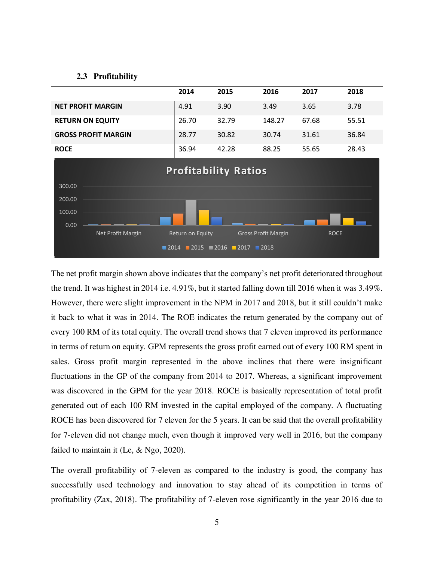#### **2.3 Profitability**

|                            | 2014  | 2015  | 2016   | 2017  | 2018  |
|----------------------------|-------|-------|--------|-------|-------|
| <b>NET PROFIT MARGIN</b>   | 4.91  | 3.90  | 3.49   | 3.65  | 3.78  |
| <b>RETURN ON EQUITY</b>    | 26.70 | 32.79 | 148.27 | 67.68 | 55.51 |
| <b>GROSS PROFIT MARGIN</b> | 28.77 | 30.82 | 30.74  | 31.61 | 36.84 |
| <b>ROCE</b>                | 36.94 | 42.28 | 88.25  | 55.65 | 28.43 |



The net profit margin shown above indicates that the company's net profit deteriorated throughout the trend. It was highest in 2014 i.e. 4.91%, but it started falling down till 2016 when it was 3.49%. However, there were slight improvement in the NPM in 2017 and 2018, but it still couldn't make it back to what it was in 2014. The ROE indicates the return generated by the company out of every 100 RM of its total equity. The overall trend shows that 7 eleven improved its performance in terms of return on equity. GPM represents the gross profit earned out of every 100 RM spent in sales. Gross profit margin represented in the above inclines that there were insignificant fluctuations in the GP of the company from 2014 to 2017. Whereas, a significant improvement was discovered in the GPM for the year 2018. ROCE is basically representation of total profit generated out of each 100 RM invested in the capital employed of the company. A fluctuating ROCE has been discovered for 7 eleven for the 5 years. It can be said that the overall profitability for 7-eleven did not change much, even though it improved very well in 2016, but the company failed to maintain it (Le, & Ngo, 2020).

The overall profitability of 7-eleven as compared to the industry is good, the company has successfully used technology and innovation to stay ahead of its competition in terms of profitability (Zax, 2018). The profitability of 7-eleven rose significantly in the year 2016 due to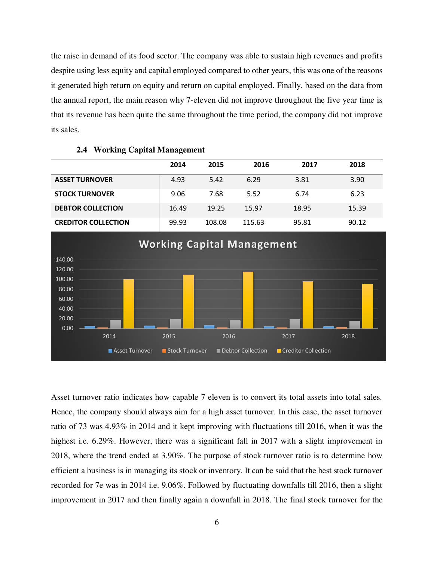the raise in demand of its food sector. The company was able to sustain high revenues and profits despite using less equity and capital employed compared to other years, this was one of the reasons it generated high return on equity and return on capital employed. Finally, based on the data from the annual report, the main reason why 7-eleven did not improve throughout the five year time is that its revenue has been quite the same throughout the time period, the company did not improve its sales.

|                            | 2014  | 2015   | 2016   | 2017  | 2018  |
|----------------------------|-------|--------|--------|-------|-------|
| <b>ASSET TURNOVER</b>      | 4.93  | 5.42   | 6.29   | 3.81  | 3.90  |
| <b>STOCK TURNOVER</b>      | 9.06  | 7.68   | 5.52   | 6.74  | 6.23  |
| <b>DEBTOR COLLECTION</b>   | 16.49 | 19.25  | 15.97  | 18.95 | 15.39 |
| <b>CREDITOR COLLECTION</b> | 99.93 | 108.08 | 115.63 | 95.81 | 90.12 |

## **2.4 Working Capital Management**



Asset turnover ratio indicates how capable 7 eleven is to convert its total assets into total sales. Hence, the company should always aim for a high asset turnover. In this case, the asset turnover ratio of 73 was 4.93% in 2014 and it kept improving with fluctuations till 2016, when it was the highest i.e. 6.29%. However, there was a significant fall in 2017 with a slight improvement in 2018, where the trend ended at 3.90%. The purpose of stock turnover ratio is to determine how efficient a business is in managing its stock or inventory. It can be said that the best stock turnover recorded for 7e was in 2014 i.e. 9.06%. Followed by fluctuating downfalls till 2016, then a slight improvement in 2017 and then finally again a downfall in 2018. The final stock turnover for the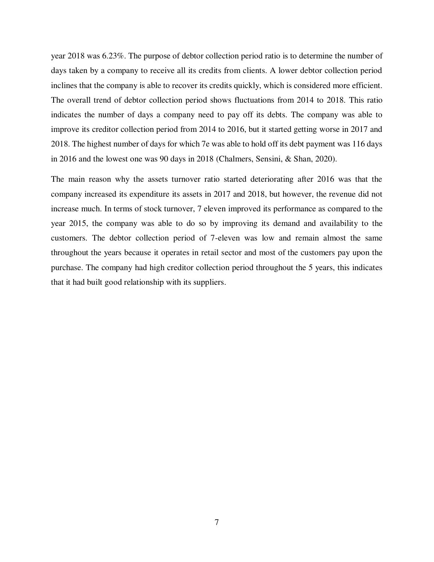year 2018 was 6.23%. The purpose of debtor collection period ratio is to determine the number of days taken by a company to receive all its credits from clients. A lower debtor collection period inclines that the company is able to recover its credits quickly, which is considered more efficient. The overall trend of debtor collection period shows fluctuations from 2014 to 2018. This ratio indicates the number of days a company need to pay off its debts. The company was able to improve its creditor collection period from 2014 to 2016, but it started getting worse in 2017 and 2018. The highest number of days for which 7e was able to hold off its debt payment was 116 days in 2016 and the lowest one was 90 days in 2018 (Chalmers, Sensini, & Shan, 2020).

The main reason why the assets turnover ratio started deteriorating after 2016 was that the company increased its expenditure its assets in 2017 and 2018, but however, the revenue did not increase much. In terms of stock turnover, 7 eleven improved its performance as compared to the year 2015, the company was able to do so by improving its demand and availability to the customers. The debtor collection period of 7-eleven was low and remain almost the same throughout the years because it operates in retail sector and most of the customers pay upon the purchase. The company had high creditor collection period throughout the 5 years, this indicates that it had built good relationship with its suppliers.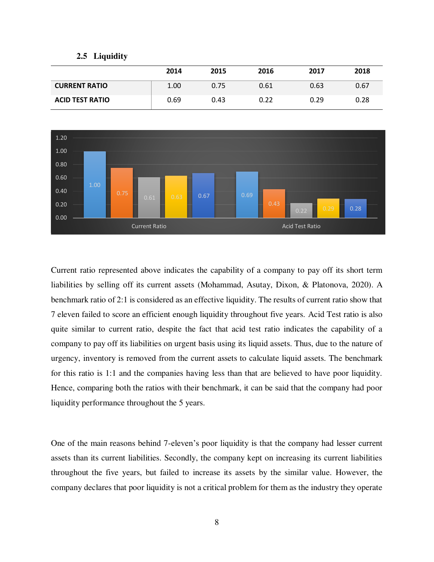#### **2.5 Liquidity**

|                        | 2014 | 2015 | 2016 | 2017 | 2018 |
|------------------------|------|------|------|------|------|
| <b>CURRENT RATIO</b>   | 1.00 | 0.75 | 0.61 | 0.63 | 0.67 |
| <b>ACID TEST RATIO</b> | 0.69 | 0.43 | 0.22 | 0.29 | 0.28 |



Current ratio represented above indicates the capability of a company to pay off its short term liabilities by selling off its current assets (Mohammad, Asutay, Dixon, & Platonova, 2020). A benchmark ratio of 2:1 is considered as an effective liquidity. The results of current ratio show that 7 eleven failed to score an efficient enough liquidity throughout five years. Acid Test ratio is also quite similar to current ratio, despite the fact that acid test ratio indicates the capability of a company to pay off its liabilities on urgent basis using its liquid assets. Thus, due to the nature of urgency, inventory is removed from the current assets to calculate liquid assets. The benchmark for this ratio is 1:1 and the companies having less than that are believed to have poor liquidity. Hence, comparing both the ratios with their benchmark, it can be said that the company had poor liquidity performance throughout the 5 years.

One of the main reasons behind 7-eleven's poor liquidity is that the company had lesser current assets than its current liabilities. Secondly, the company kept on increasing its current liabilities throughout the five years, but failed to increase its assets by the similar value. However, the company declares that poor liquidity is not a critical problem for them as the industry they operate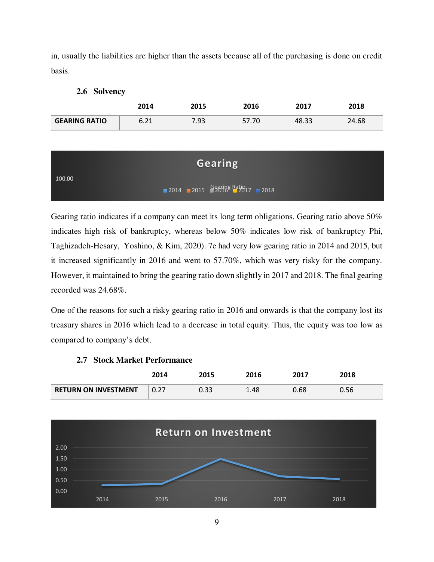in, usually the liabilities are higher than the assets because all of the purchasing is done on credit basis.

| $2.6^{\circ}$ | <b>Solvency</b> |
|---------------|-----------------|
|---------------|-----------------|

|                      | 2014         | 2015 | 2016  | 2017  | 2018  |
|----------------------|--------------|------|-------|-------|-------|
| <b>GEARING RATIO</b> | 6.71<br>0.ZI | 7.93 | 57.70 | 48.33 | 24.68 |

| 100.00 | <b>Gearing</b>                                                                          |
|--------|-----------------------------------------------------------------------------------------|
|        | $\blacksquare$ 2014 $\blacksquare$ 2015 $\Omega$ 2018 $\Omega$ 2017 $\blacksquare$ 2018 |

Gearing ratio indicates if a company can meet its long term obligations. Gearing ratio above 50% indicates high risk of bankruptcy, whereas below 50% indicates low risk of bankruptcy Phi, Taghizadeh-Hesary, Yoshino, & Kim, 2020). 7e had very low gearing ratio in 2014 and 2015, but it increased significantly in 2016 and went to 57.70%, which was very risky for the company. However, it maintained to bring the gearing ratio down slightly in 2017 and 2018. The final gearing recorded was 24.68%.

One of the reasons for such a risky gearing ratio in 2016 and onwards is that the company lost its treasury shares in 2016 which lead to a decrease in total equity. Thus, the equity was too low as compared to company's debt.

|                             | 2014 | 2015 | 2016 | 2017 | 2018 |
|-----------------------------|------|------|------|------|------|
| <b>RETURN ON INVESTMENT</b> | 0.27 | 0.33 | 1.48 | 0.68 | 0.56 |

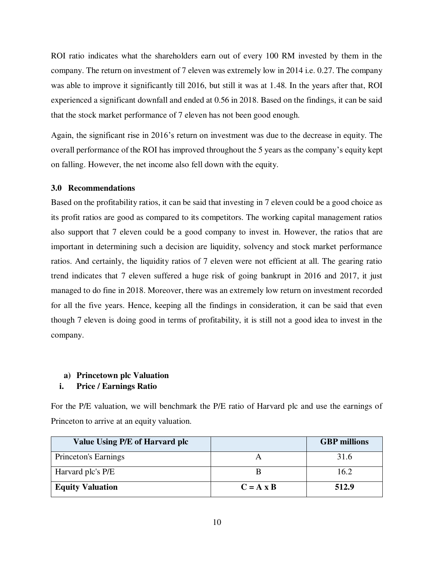ROI ratio indicates what the shareholders earn out of every 100 RM invested by them in the company. The return on investment of 7 eleven was extremely low in 2014 i.e. 0.27. The company was able to improve it significantly till 2016, but still it was at 1.48. In the years after that, ROI experienced a significant downfall and ended at 0.56 in 2018. Based on the findings, it can be said that the stock market performance of 7 eleven has not been good enough.

Again, the significant rise in 2016's return on investment was due to the decrease in equity. The overall performance of the ROI has improved throughout the 5 years as the company's equity kept on falling. However, the net income also fell down with the equity.

## **3.0 Recommendations**

Based on the profitability ratios, it can be said that investing in 7 eleven could be a good choice as its profit ratios are good as compared to its competitors. The working capital management ratios also support that 7 eleven could be a good company to invest in. However, the ratios that are important in determining such a decision are liquidity, solvency and stock market performance ratios. And certainly, the liquidity ratios of 7 eleven were not efficient at all. The gearing ratio trend indicates that 7 eleven suffered a huge risk of going bankrupt in 2016 and 2017, it just managed to do fine in 2018. Moreover, there was an extremely low return on investment recorded for all the five years. Hence, keeping all the findings in consideration, it can be said that even though 7 eleven is doing good in terms of profitability, it is still not a good idea to invest in the company.

## **a) Princetown plc Valuation**

## **i. Price / Earnings Ratio**

For the P/E valuation, we will benchmark the P/E ratio of Harvard plc and use the earnings of Princeton to arrive at an equity valuation.

| Value Using P/E of Harvard plc |                  | <b>GBP</b> millions |
|--------------------------------|------------------|---------------------|
| Princeton's Earnings           |                  | 31.6                |
| Harvard plc's P/E              |                  | 16.2                |
| <b>Equity Valuation</b>        | $C = A \times B$ | 512.9               |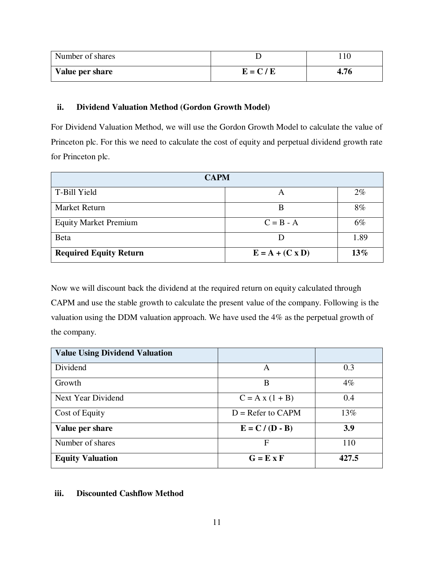| Number of shares |           |      |
|------------------|-----------|------|
| Value per share  | $E = C/E$ | 4.76 |

## **ii. Dividend Valuation Method (Gordon Growth Model)**

For Dividend Valuation Method, we will use the Gordon Growth Model to calculate the value of Princeton plc. For this we need to calculate the cost of equity and perpetual dividend growth rate for Princeton plc.

| <b>CAPM</b>                   |                        |       |  |  |
|-------------------------------|------------------------|-------|--|--|
| T-Bill Yield                  |                        | $2\%$ |  |  |
| Market Return                 | B                      | 8%    |  |  |
| <b>Equity Market Premium</b>  | $C = B - A$            | 6%    |  |  |
| Beta                          |                        | 1.89  |  |  |
| <b>Required Equity Return</b> | $E = A + (C \times D)$ | 13%   |  |  |

Now we will discount back the dividend at the required return on equity calculated through CAPM and use the stable growth to calculate the present value of the company. Following is the valuation using the DDM valuation approach. We have used the 4% as the perpetual growth of the company.

| <b>Value Using Dividend Valuation</b> |                     |        |
|---------------------------------------|---------------------|--------|
| Dividend                              | A                   | 0.3    |
| Growth                                | B                   | $4\%$  |
| Next Year Dividend                    | $C = A x (1 + B)$   | 0.4    |
| Cost of Equity                        | $D =$ Refer to CAPM | $13\%$ |
| Value per share                       | $E = C / (D - B)$   | 3.9    |
| Number of shares                      | F                   | 110    |
| <b>Equity Valuation</b>               | $G = E \times F$    | 427.5  |

## **iii. Discounted Cashflow Method**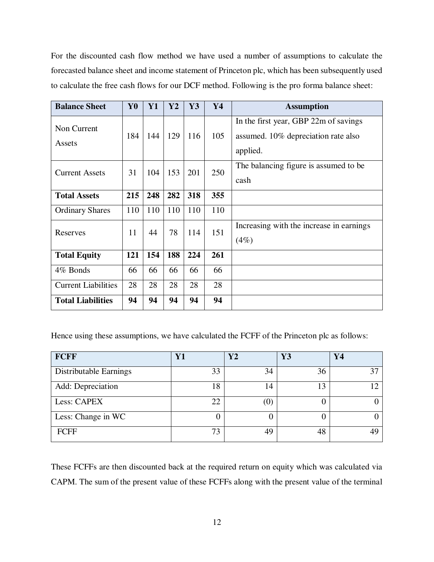For the discounted cash flow method we have used a number of assumptions to calculate the forecasted balance sheet and income statement of Princeton plc, which has been subsequently used to calculate the free cash flows for our DCF method. Following is the pro forma balance sheet:

| <b>Balance Sheet</b>       | Y <sub>0</sub> | Y1  | $\mathbf{Y2}$ | Y3  | Y4  | <b>Assumption</b>                                                            |
|----------------------------|----------------|-----|---------------|-----|-----|------------------------------------------------------------------------------|
| Non Current<br>Assets      | 184            | 144 | 129           | 116 | 105 | In the first year, GBP 22m of savings<br>assumed. 10% depreciation rate also |
|                            |                |     |               |     |     | applied.                                                                     |
| <b>Current Assets</b>      | 31             | 104 | 153           | 201 | 250 | The balancing figure is assumed to be                                        |
|                            |                |     |               |     |     | cash                                                                         |
| <b>Total Assets</b>        | 215            | 248 | 282           | 318 | 355 |                                                                              |
| <b>Ordinary Shares</b>     | 110            | 110 | 110           | 110 | 110 |                                                                              |
| Reserves                   | 11             | 44  | 78            | 114 | 151 | Increasing with the increase in earnings                                     |
|                            |                |     |               |     |     | (4%)                                                                         |
| <b>Total Equity</b>        | 121            | 154 | 188           | 224 | 261 |                                                                              |
| 4% Bonds                   | 66             | 66  | 66            | 66  | 66  |                                                                              |
| <b>Current Liabilities</b> | 28             | 28  | 28            | 28  | 28  |                                                                              |
| <b>Total Liabilities</b>   | 94             | 94  | 94            | 94  | 94  |                                                                              |

Hence using these assumptions, we have calculated the FCFF of the Princeton plc as follows:

| <b>FCFF</b>            | $\mathbf{Y}$ 1 | $\mathbf{V2}$     | Y3 | Y4 |
|------------------------|----------------|-------------------|----|----|
| Distributable Earnings | 33             | 34                | 36 | 37 |
| Add: Depreciation      | 18             | 4                 |    |    |
| Less: CAPEX            |                | $\left( 0\right)$ |    |    |
| Less: Change in WC     |                |                   |    |    |
| <b>FCFF</b>            | 73             | 49                | 48 | ЛC |

These FCFFs are then discounted back at the required return on equity which was calculated via CAPM. The sum of the present value of these FCFFs along with the present value of the terminal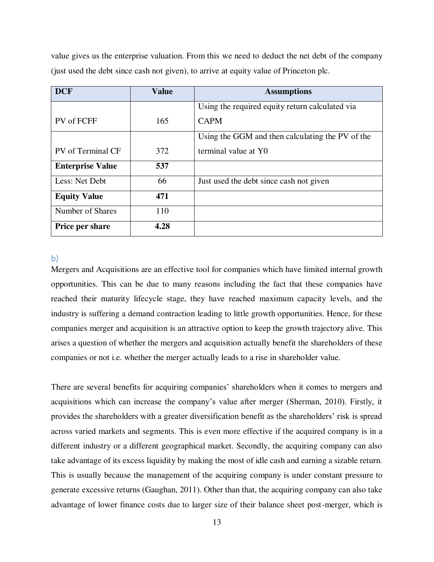value gives us the enterprise valuation. From this we need to deduct the net debt of the company (just used the debt since cash not given), to arrive at equity value of Princeton plc.

| <b>DCF</b>              | <b>Value</b> | <b>Assumptions</b>                               |
|-------------------------|--------------|--------------------------------------------------|
|                         |              | Using the required equity return calculated via  |
| PV of FCFF              | 165          | <b>CAPM</b>                                      |
|                         |              | Using the GGM and then calculating the PV of the |
| PV of Terminal CF       | 372          | terminal value at Y0                             |
| <b>Enterprise Value</b> | 537          |                                                  |
| Less: Net Debt          | 66           | Just used the debt since cash not given          |
| <b>Equity Value</b>     | 471          |                                                  |
| Number of Shares        | 110          |                                                  |
| <b>Price per share</b>  | 4.28         |                                                  |

## b)

Mergers and Acquisitions are an effective tool for companies which have limited internal growth opportunities. This can be due to many reasons including the fact that these companies have reached their maturity lifecycle stage, they have reached maximum capacity levels, and the industry is suffering a demand contraction leading to little growth opportunities. Hence, for these companies merger and acquisition is an attractive option to keep the growth trajectory alive. This arises a question of whether the mergers and acquisition actually benefit the shareholders of these companies or not i.e. whether the merger actually leads to a rise in shareholder value.

There are several benefits for acquiring companies' shareholders when it comes to mergers and acquisitions which can increase the company's value after merger (Sherman, 2010). Firstly, it provides the shareholders with a greater diversification benefit as the shareholders' risk is spread across varied markets and segments. This is even more effective if the acquired company is in a different industry or a different geographical market. Secondly, the acquiring company can also take advantage of its excess liquidity by making the most of idle cash and earning a sizable return. This is usually because the management of the acquiring company is under constant pressure to generate excessive returns (Gaughan, 2011). Other than that, the acquiring company can also take advantage of lower finance costs due to larger size of their balance sheet post-merger, which is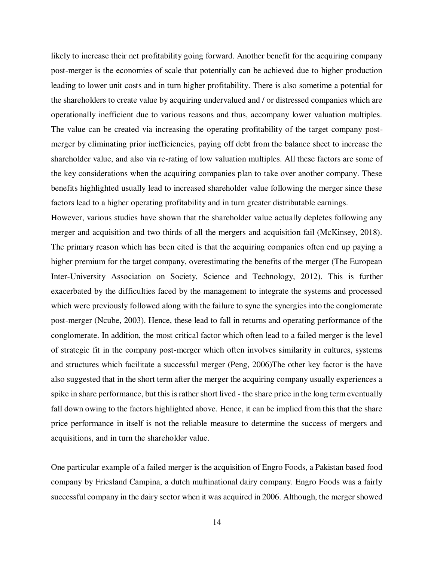likely to increase their net profitability going forward. Another benefit for the acquiring company post-merger is the economies of scale that potentially can be achieved due to higher production leading to lower unit costs and in turn higher profitability. There is also sometime a potential for the shareholders to create value by acquiring undervalued and / or distressed companies which are operationally inefficient due to various reasons and thus, accompany lower valuation multiples. The value can be created via increasing the operating profitability of the target company postmerger by eliminating prior inefficiencies, paying off debt from the balance sheet to increase the shareholder value, and also via re-rating of low valuation multiples. All these factors are some of the key considerations when the acquiring companies plan to take over another company. These benefits highlighted usually lead to increased shareholder value following the merger since these factors lead to a higher operating profitability and in turn greater distributable earnings.

However, various studies have shown that the shareholder value actually depletes following any merger and acquisition and two thirds of all the mergers and acquisition fail (McKinsey, 2018). The primary reason which has been cited is that the acquiring companies often end up paying a higher premium for the target company, overestimating the benefits of the merger (The European Inter-University Association on Society, Science and Technology, 2012). This is further exacerbated by the difficulties faced by the management to integrate the systems and processed which were previously followed along with the failure to sync the synergies into the conglomerate post-merger (Ncube, 2003). Hence, these lead to fall in returns and operating performance of the conglomerate. In addition, the most critical factor which often lead to a failed merger is the level of strategic fit in the company post-merger which often involves similarity in cultures, systems and structures which facilitate a successful merger (Peng, 2006)The other key factor is the have also suggested that in the short term after the merger the acquiring company usually experiences a spike in share performance, but this is rather short lived - the share price in the long term eventually fall down owing to the factors highlighted above. Hence, it can be implied from this that the share price performance in itself is not the reliable measure to determine the success of mergers and acquisitions, and in turn the shareholder value.

One particular example of a failed merger is the acquisition of Engro Foods, a Pakistan based food company by Friesland Campina, a dutch multinational dairy company. Engro Foods was a fairly successful company in the dairy sector when it was acquired in 2006. Although, the merger showed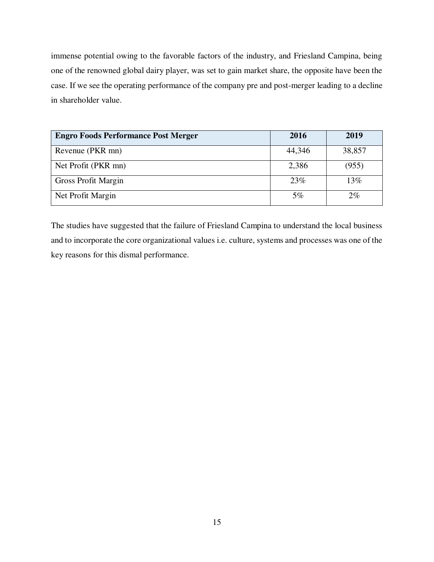immense potential owing to the favorable factors of the industry, and Friesland Campina, being one of the renowned global dairy player, was set to gain market share, the opposite have been the case. If we see the operating performance of the company pre and post-merger leading to a decline in shareholder value.

| <b>Engro Foods Performance Post Merger</b> | 2016   | 2019   |
|--------------------------------------------|--------|--------|
| Revenue (PKR mn)                           | 44,346 | 38,857 |
| Net Profit (PKR mn)                        | 2,386  | (955)  |
| <b>Gross Profit Margin</b>                 | 23\%   | 13%    |
| Net Profit Margin                          | 5%     | $2\%$  |

The studies have suggested that the failure of Friesland Campina to understand the local business and to incorporate the core organizational values i.e. culture, systems and processes was one of the key reasons for this dismal performance.